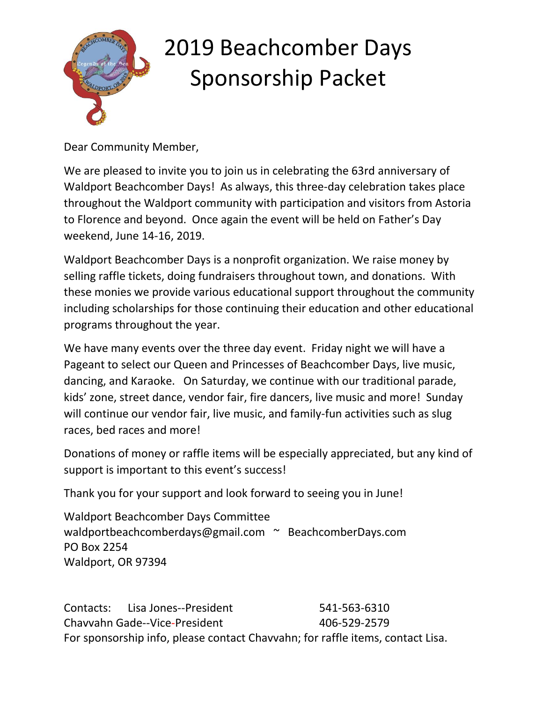

Dear Community Member,

We are pleased to invite you to join us in celebrating the 63rd anniversary of Waldport Beachcomber Days! As always, this three-day celebration takes place throughout the Waldport community with participation and visitors from Astoria to Florence and beyond. Once again the event will be held on Father's Day weekend, June 14-16, 2019.

Waldport Beachcomber Days is a nonprofit organization. We raise money by selling raffle tickets, doing fundraisers throughout town, and donations. With these monies we provide various educational support throughout the community including scholarships for those continuing their education and other educational programs throughout the year.

We have many events over the three day event. Friday night we will have a Pageant to select our Queen and Princesses of Beachcomber Days, live music, dancing, and Karaoke. On Saturday, we continue with our traditional parade, kids' zone, street dance, vendor fair, fire dancers, live music and more! Sunday will continue our vendor fair, live music, and family-fun activities such as slug races, bed races and more!

Donations of money or raffle items will be especially appreciated, but any kind of support is important to this event's success!

Thank you for your support and look forward to seeing you in June!

Waldport Beachcomber Days Committee [waldportbeachcomberdays@gmail.com](mailto:waldportbeachcomberdays@gmail.com) ~ BeachcomberDays.com PO Box 2254 Waldport, OR 97394

Contacts: Lisa Jones--President 541-563-6310 Chavvahn Gade--Vice-President 406-529-2579 For sponsorship info, please contact Chavvahn; for raffle items, contact Lisa.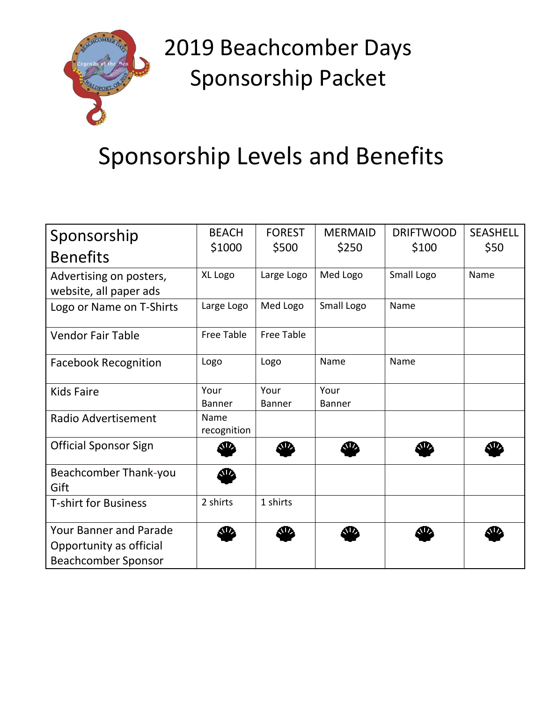

### Sponsorship Levels and Benefits

| Sponsorship                                                                            | <b>BEACH</b>                                                                                                                                                                                                                  | <b>FOREST</b>         | <b>MERMAID</b>        | <b>DRIFTWOOD</b> | <b>SEASHELL</b> |
|----------------------------------------------------------------------------------------|-------------------------------------------------------------------------------------------------------------------------------------------------------------------------------------------------------------------------------|-----------------------|-----------------------|------------------|-----------------|
| <b>Benefits</b>                                                                        | \$1000                                                                                                                                                                                                                        | \$500                 | \$250                 | \$100            | \$50            |
| Advertising on posters,<br>website, all paper ads                                      | XL Logo                                                                                                                                                                                                                       | Large Logo            | Med Logo              | Small Logo       | Name            |
| Logo or Name on T-Shirts                                                               | Large Logo                                                                                                                                                                                                                    | Med Logo              | Small Logo            | Name             |                 |
| <b>Vendor Fair Table</b>                                                               | <b>Free Table</b>                                                                                                                                                                                                             | <b>Free Table</b>     |                       |                  |                 |
| <b>Facebook Recognition</b>                                                            | Logo                                                                                                                                                                                                                          | Logo                  | Name                  | Name             |                 |
| <b>Kids Faire</b>                                                                      | Your<br><b>Banner</b>                                                                                                                                                                                                         | Your<br><b>Banner</b> | Your<br><b>Banner</b> |                  |                 |
| Radio Advertisement                                                                    | Name<br>recognition                                                                                                                                                                                                           |                       |                       |                  |                 |
| <b>Official Sponsor Sign</b>                                                           | W.                                                                                                                                                                                                                            |                       |                       |                  |                 |
| <b>Beachcomber Thank-you</b><br>Gift                                                   | $\bf \Phi$                                                                                                                                                                                                                    |                       |                       |                  |                 |
| <b>T-shirt for Business</b>                                                            | 2 shirts                                                                                                                                                                                                                      | 1 shirts              |                       |                  |                 |
| <b>Your Banner and Parade</b><br>Opportunity as official<br><b>Beachcomber Sponsor</b> | sia a final a fara a fara a fara a fara a fara a fara a fara a fara a fara a fara a fara a fara a fara a fara a fara a fara a fara a fara a fara a fara a fara a fara a fara a fara a fara a fara a fara a fara a fara a fara | W                     | <b>O</b>              | SD.              | ЛZ,             |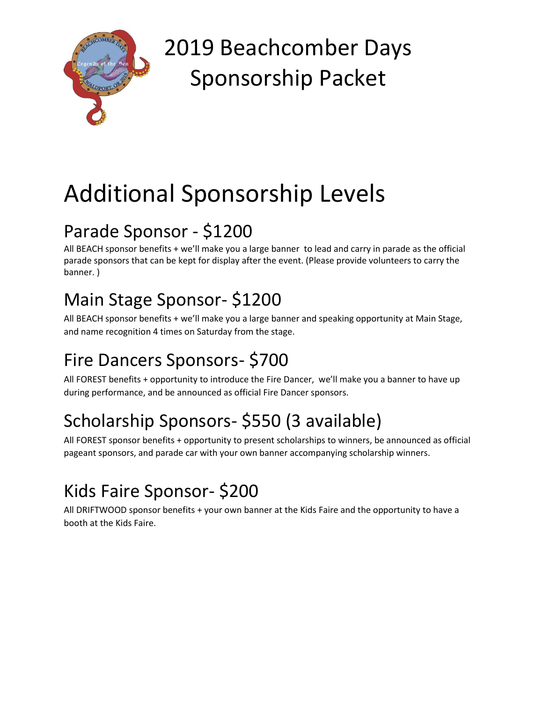

# Additional Sponsorship Levels

#### Parade Sponsor - \$1200

All BEACH sponsor benefits + we'll make you a large banner to lead and carry in parade as the official parade sponsors that can be kept for display after the event. (Please provide volunteers to carry the banner. )

#### Main Stage Sponsor- \$1200

All BEACH sponsor benefits + we'll make you a large banner and speaking opportunity at Main Stage, and name recognition 4 times on Saturday from the stage.

#### Fire Dancers Sponsors- \$700

All FOREST benefits + opportunity to introduce the Fire Dancer, we'll make you a banner to have up during performance, and be announced as official Fire Dancer sponsors.

### Scholarship Sponsors- \$550 (3 available)

All FOREST sponsor benefits + opportunity to present scholarships to winners, be announced as official pageant sponsors, and parade car with your own banner accompanying scholarship winners.

#### Kids Faire Sponsor- \$200

All DRIFTWOOD sponsor benefits + your own banner at the Kids Faire and the opportunity to have a booth at the Kids Faire.